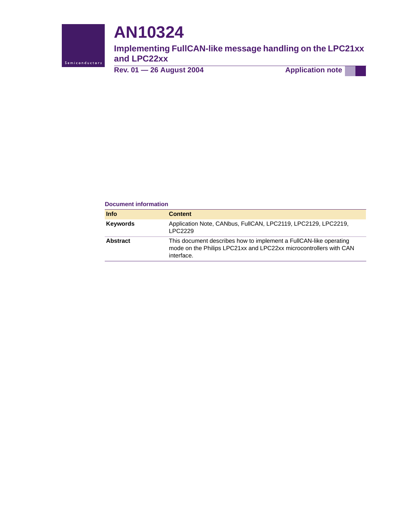

# **AN10324**

**Implementing FullCAN-like message handling on the LPC21xx and LPC22xx**

**Rev. 01 — 26 August 2004 Application note**

#### **Document information**

| <b>Info</b>     | <b>Content</b>                                                                                                                                       |
|-----------------|------------------------------------------------------------------------------------------------------------------------------------------------------|
| <b>Keywords</b> | Application Note, CANbus, FullCAN, LPC2119, LPC2129, LPC2219,<br>LPC2229                                                                             |
| <b>Abstract</b> | This document describes how to implement a FullCAN-like operating<br>mode on the Philips LPC21xx and LPC22xx microcontrollers with CAN<br>interface. |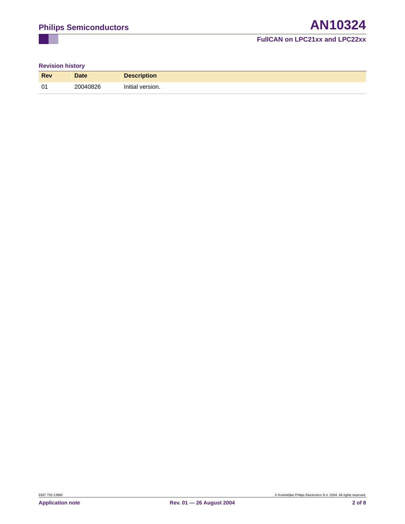## **FullCAN on LPC21xx and LPC22xx**

## **Revision history**

| <b>Rev</b> | <b>Date</b> | <b>Description</b> |
|------------|-------------|--------------------|
| 01         | 20040826    | Initial version.   |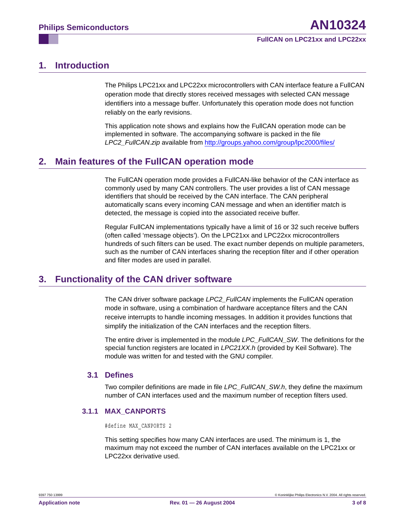# <span id="page-2-0"></span>**1. Introduction**

The Philips LPC21xx and LPC22xx microcontrollers with CAN interface feature a FullCAN operation mode that directly stores received messages with selected CAN message identifiers into a message buffer. Unfortunately this operation mode does not function reliably on the early revisions.

This application note shows and explains how the FullCAN operation mode can be implemented in software. The accompanying software is packed in the file *LPC2\_FullCAN.zip* available from <http://groups.yahoo.com/group/lpc2000/files/>

# <span id="page-2-1"></span>**2. Main features of the FullCAN operation mode**

The FullCAN operation mode provides a FullCAN-like behavior of the CAN interface as commonly used by many CAN controllers. The user provides a list of CAN message identifiers that should be received by the CAN interface. The CAN peripheral automatically scans every incoming CAN message and when an identifier match is detected, the message is copied into the associated receive buffer.

Regular FullCAN implementations typically have a limit of 16 or 32 such receive buffers (often called 'message objects'). On the LPC21xx and LPC22xx microcontrollers hundreds of such filters can be used. The exact number depends on multiple parameters, such as the number of CAN interfaces sharing the reception filter and if other operation and filter modes are used in parallel.

# <span id="page-2-2"></span>**3. Functionality of the CAN driver software**

The CAN driver software package *LPC2\_FullCAN* implements the FullCAN operation mode in software, using a combination of hardware acceptance filters and the CAN receive interrupts to handle incoming messages. In addition it provides functions that simplify the initialization of the CAN interfaces and the reception filters.

The entire driver is implemented in the module *LPC\_FullCAN\_SW*. The definitions for the special function registers are located in *LPC21XX.h* (provided by Keil Software). The module was written for and tested with the GNU compiler.

## <span id="page-2-3"></span>**3.1 Defines**

Two compiler definitions are made in file *LPC\_FullCAN\_SW.h*, they define the maximum number of CAN interfaces used and the maximum number of reception filters used.

## <span id="page-2-4"></span>**3.1.1 MAX\_CANPORTS**

#define MAX\_CANPORTS 2

This setting specifies how many CAN interfaces are used. The minimum is 1, the maximum may not exceed the number of CAN interfaces available on the LPC21xx or LPC22xx derivative used.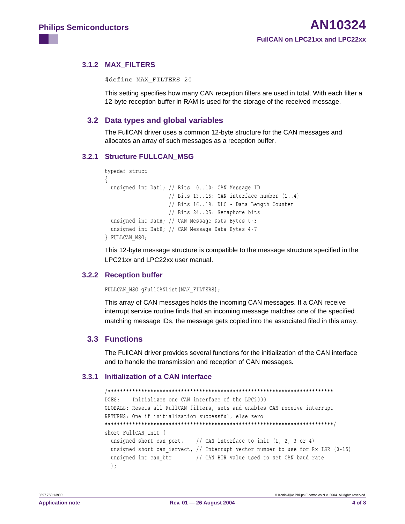<span id="page-3-0"></span>3.1.2 MAX\_FILTERS

#define MAX FILTERS 20

This setting specifies how many CAN reception filters are used in total. With each filter a 12-byte reception buffer in RAM is used for the storage of the received message.

## <span id="page-3-1"></span>3.2 Data types and global variables

The FullCAN driver uses a common 12-byte structure for the CAN messages and allocates an array of such messages as a reception buffer.

### <span id="page-3-2"></span>3.2.1 Structure FULLCAN MSG

```
typedef struct
 unsigned int Dat1; // Bits 0..10: CAN Message ID
                     // Bits 13..15: CAN interface number (1..4)
                    // Bits 16..19: DLC - Data Length Counter
                    // Bits 24..25: Semaphore bits
 unsigned int DatA; // CAN Message Data Bytes 0-3
 unsigned int DatB; // CAN Message Data Bytes 4-7
FULLCAN MSG;
```
This 12-byte message structure is compatible to the message structure specified in the LPC21xx and LPC22xx user manual.

#### <span id="page-3-3"></span>3.2.2 Reception buffer

FULLCAN MSG gFullCANList [MAX FILTERS];

This array of CAN messages holds the incoming CAN messages. If a CAN receive interrupt service routine finds that an incoming message matches one of the specified matching message IDs, the message gets copied into the associated filed in this array.

## <span id="page-3-4"></span>3.3 Functions

The FullCAN driver provides several functions for the initialization of the CAN interface and to handle the transmission and reception of CAN messages.

#### <span id="page-3-5"></span>3.3.1 Initialization of a CAN interface

```
Initializes one CAN interface of the LPC2000
DOES:
GLOBALS: Resets all FullCAN filters, sets and enables CAN receive interrupt
RETURNS: One if initialization successful, else zero
short FullCAN Init (
 unsigned short can port, // CAN interface to init (1, 2, 3 or 4)
 unsigned short can isrvect, // Interrupt vector number to use for Rx ISR (0-15)
 unsigned int can btr // CAN BTR value used to set CAN baud rate
 \, ;
```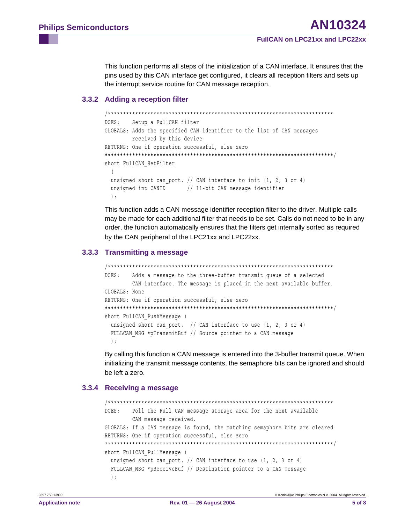This function performs all steps of the initialization of a CAN interface. It ensures that the pins used by this CAN interface get configured, it clears all reception filters and sets up the interrupt service routine for CAN message reception.

## <span id="page-4-0"></span>3.3.2 Adding a reception filter

```
DOES:
      Setup a FullCAN filter
GLOBALS: Adds the specified CAN identifier to the list of CAN messages
      received by this device
RETURNS: One if operation successful, else zero
short FullCAN SetFilter
 \left(unsigned short can_port, // CAN interface to init (1, 2, 3 or 4)
 unsigned int CANID // 11-bit CAN message identifier
 \rightarrow
```
This function adds a CAN message identifier reception filter to the driver. Multiple calls may be made for each additional filter that needs to be set. Calls do not need to be in any order, the function automatically ensures that the filters get internally sorted as required by the CAN peripheral of the LPC21xx and LPC22xx.

### <span id="page-4-1"></span>3.3.3 Transmitting a message

```
DOES:
      Adds a message to the three-buffer transmit queue of a selected
      CAN interface. The message is placed in the next available buffer.
GLOBALS: None
RETURNS: One if operation successful, else zero
short FullCAN PushMessage (
 unsigned short can port, // CAN interface to use (1, 2, 3 or 4)
 FULLCAN MSG *pTransmitBuf // Source pointer to a CAN message
 \vert;
```
By calling this function a CAN message is entered into the 3-buffer transmit queue. When initializing the transmit message contents, the semaphore bits can be ignored and should be left a zero.

## <span id="page-4-2"></span>3.3.4 Receiving a message

```
Poll the Full CAN message storage area for the next available
DORES:CAN message received.
GLOBALS: If a CAN message is found, the matching semaphore bits are cleared
RETURNS: One if operation successful, else zero
short FullCAN PullMessage (
 unsigned short can port, // CAN interface to use (1, 2, 3 or 4)
 FULLCAN MSG *pReceiveBuf // Destination pointer to a CAN message
 \cdot
```
© Koninklijke Philips Electronics N.V. 2004. All rights reserved.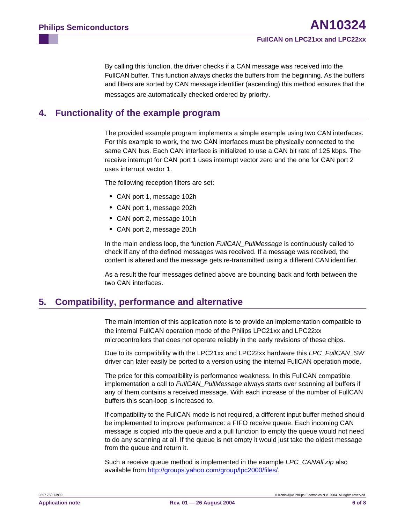By calling this function, the driver checks if a CAN message was received into the FullCAN buffer. This function always checks the buffers from the beginning. As the buffers and filters are sorted by CAN message identifier (ascending) this method ensures that the messages are automatically checked ordered by priority.

## <span id="page-5-0"></span>**4. Functionality of the example program**

The provided example program implements a simple example using two CAN interfaces. For this example to work, the two CAN interfaces must be physically connected to the same CAN bus. Each CAN interface is initialized to use a CAN bit rate of 125 kbps. The receive interrupt for CAN port 1 uses interrupt vector zero and the one for CAN port 2 uses interrupt vector 1.

The following reception filters are set:

- **•** CAN port 1, message 102h
- **•** CAN port 1, message 202h
- **•** CAN port 2, message 101h
- **•** CAN port 2, message 201h

In the main endless loop, the function *FullCAN\_PullMessage* is continuously called to check if any of the defined messages was received. If a message was received, the content is altered and the message gets re-transmitted using a different CAN identifier.

As a result the four messages defined above are bouncing back and forth between the two CAN interfaces.

# <span id="page-5-1"></span>**5. Compatibility, performance and alternative**

The main intention of this application note is to provide an implementation compatible to the internal FullCAN operation mode of the Philips LPC21xx and LPC22xx microcontrollers that does not operate reliably in the early revisions of these chips.

Due to its compatibility with the LPC21xx and LPC22xx hardware this *LPC\_FullCAN\_SW* driver can later easily be ported to a version using the internal FullCAN operation mode.

The price for this compatibility is performance weakness. In this FullCAN compatible implementation a call to *FullCAN\_PullMessage* always starts over scanning all buffers if any of them contains a received message. With each increase of the number of FullCAN buffers this scan-loop is increased to.

If compatibility to the FullCAN mode is not required, a different input buffer method should be implemented to improve performance: a FIFO receive queue. Each incoming CAN message is copied into the queue and a pull function to empty the queue would not need to do any scanning at all. If the queue is not empty it would just take the oldest message from the queue and return it.

Such a receive queue method is implemented in the example *LPC\_CANAll.zip* [also](http://groups.yahoo.com/group/lpc2000/files/)  [available from http://groups.yahoo.com/group/lpc2000/files/](http://groups.yahoo.com/group/lpc2000/files/).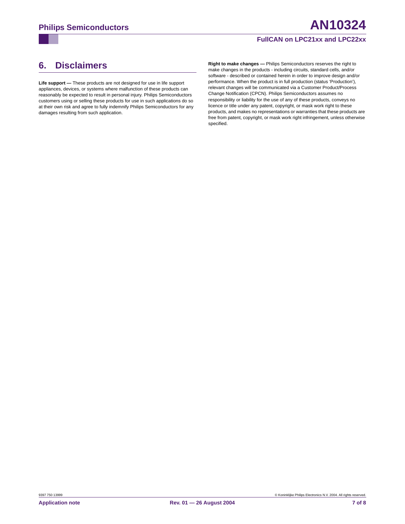#### **FullCAN on LPC21xx and LPC22xx**

# <span id="page-6-0"></span>**6. Disclaimers**

**Life support —** These products are not designed for use in life support appliances, devices, or systems where malfunction of these products can reasonably be expected to result in personal injury. Philips Semiconductors customers using or selling these products for use in such applications do so at their own risk and agree to fully indemnify Philips Semiconductors for any damages resulting from such application.

**Right to make changes —** Philips Semiconductors reserves the right to make changes in the products - including circuits, standard cells, and/or software - described or contained herein in order to improve design and/or performance. When the product is in full production (status 'Production'), relevant changes will be communicated via a Customer Product/Process Change Notification (CPCN). Philips Semiconductors assumes no responsibility or liability for the use of any of these products, conveys no licence or title under any patent, copyright, or mask work right to these products, and makes no representations or warranties that these products are free from patent, copyright, or mask work right infringement, unless otherwise specified.